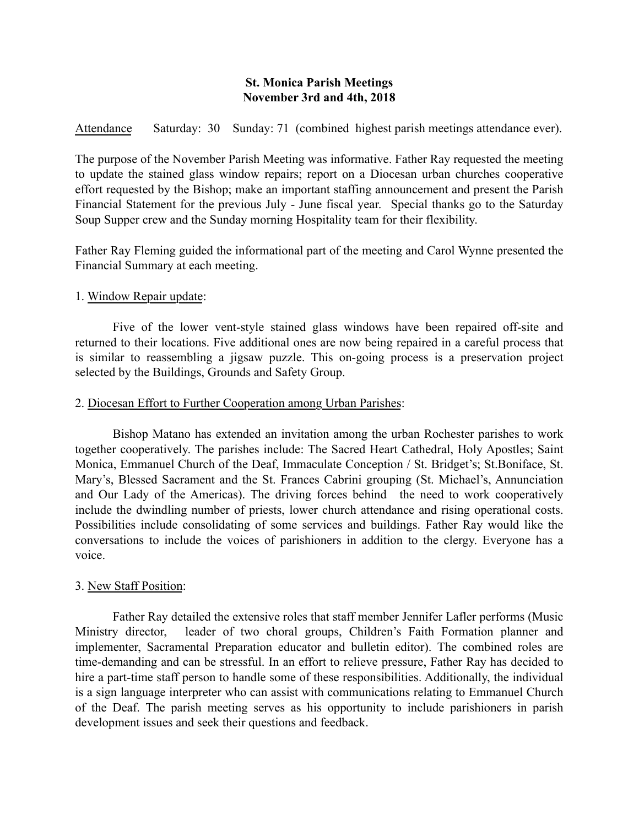## St. Monica Parish Meetings November 3rd and 4th, 2018

Attendance Saturday: 30 Sunday: 71 (combined highest parish meetings attendance ever).

The purpose of the November Parish Meeting was informative. Father Ray requested the meeting to update the stained glass window repairs; report on a Diocesan urban churches cooperative effort requested by the Bishop; make an important staffing announcement and present the Parish Financial Statement for the previous July - June fiscal year. Special thanks go to the Saturday Soup Supper crew and the Sunday morning Hospitality team for their flexibility.

Father Ray Fleming guided the informational part of the meeting and Carol Wynne presented the Financial Summary at each meeting.

## 1. Window Repair update:

Five of the lower vent-style stained glass windows have been repaired off-site and returned to their locations. Five additional ones are now being repaired in a careful process that is similar to reassembling a jigsaw puzzle. This on-going process is a preservation project selected by the Buildings, Grounds and Safety Group.

### 2. Diocesan Effort to Further Cooperation among Urban Parishes:

Bishop Matano has extended an invitation among the urban Rochester parishes to work together cooperatively. The parishes include: The Sacred Heart Cathedral, Holy Apostles; Saint Monica, Emmanuel Church of the Deaf, Immaculate Conception / St. Bridget's; St.Boniface, St. Mary's, Blessed Sacrament and the St. Frances Cabrini grouping (St. Michael's, Annunciation and Our Lady of the Americas). The driving forces behind the need to work cooperatively include the dwindling number of priests, lower church attendance and rising operational costs. Possibilities include consolidating of some services and buildings. Father Ray would like the conversations to include the voices of parishioners in addition to the clergy. Everyone has a voice.

## 3. New Staff Position:

Father Ray detailed the extensive roles that staff member Jennifer Lafler performs (Music Ministry director, leader of two choral groups, Children's Faith Formation planner and implementer, Sacramental Preparation educator and bulletin editor). The combined roles are time-demanding and can be stressful. In an effort to relieve pressure, Father Ray has decided to hire a part-time staff person to handle some of these responsibilities. Additionally, the individual is a sign language interpreter who can assist with communications relating to Emmanuel Church of the Deaf. The parish meeting serves as his opportunity to include parishioners in parish development issues and seek their questions and feedback.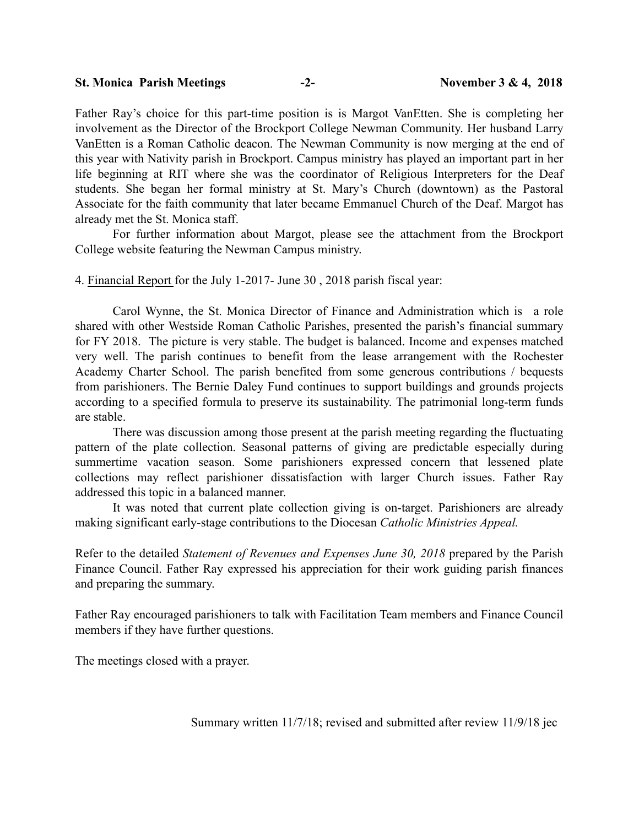# St. Monica Parish Meetings -2- November 3 & 4, 2018

Father Ray's choice for this part-time position is is Margot VanEtten. She is completing her involvement as the Director of the Brockport College Newman Community. Her husband Larry VanEtten is a Roman Catholic deacon. The Newman Community is now merging at the end of this year with Nativity parish in Brockport. Campus ministry has played an important part in her life beginning at RIT where she was the coordinator of Religious Interpreters for the Deaf students. She began her formal ministry at St. Mary's Church (downtown) as the Pastoral Associate for the faith community that later became Emmanuel Church of the Deaf. Margot has already met the St. Monica staff.

For further information about Margot, please see the attachment from the Brockport College website featuring the Newman Campus ministry.

4. Financial Report for the July 1-2017- June 30 , 2018 parish fiscal year:

Carol Wynne, the St. Monica Director of Finance and Administration which is a role shared with other Westside Roman Catholic Parishes, presented the parish's financial summary for FY 2018. The picture is very stable. The budget is balanced. Income and expenses matched very well. The parish continues to benefit from the lease arrangement with the Rochester Academy Charter School. The parish benefited from some generous contributions / bequests from parishioners. The Bernie Daley Fund continues to support buildings and grounds projects according to a specified formula to preserve its sustainability. The patrimonial long-term funds are stable.

There was discussion among those present at the parish meeting regarding the fluctuating pattern of the plate collection. Seasonal patterns of giving are predictable especially during summertime vacation season. Some parishioners expressed concern that lessened plate collections may reflect parishioner dissatisfaction with larger Church issues. Father Ray addressed this topic in a balanced manner.

It was noted that current plate collection giving is on-target. Parishioners are already making significant early-stage contributions to the Diocesan *Catholic Ministries Appeal.*

Refer to the detailed *Statement of Revenues and Expenses June 30, 2018* prepared by the Parish Finance Council. Father Ray expressed his appreciation for their work guiding parish finances and preparing the summary.

Father Ray encouraged parishioners to talk with Facilitation Team members and Finance Council members if they have further questions.

The meetings closed with a prayer.

Summary written 11/7/18; revised and submitted after review 11/9/18 jec